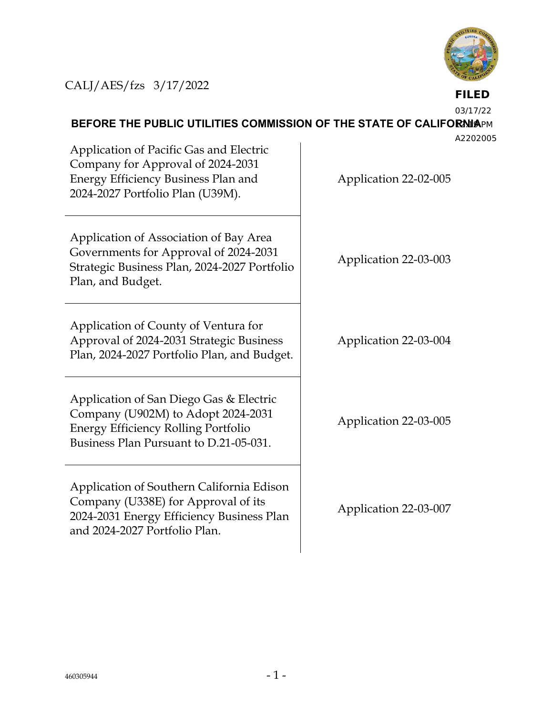

## CALJ/AES/fzs 3/17/2022

**FILED**

03/17/22

## **BEFORE THE PUBLIC UTILITIES COMMISSION OF THE STATE OF CALIFORNIAPM**

A2202005

Application of Pacific Gas and Electric Company for Approval of 2024-2031 Energy Efficiency Business Plan and 2024-2027 Portfolio Plan (U39M). Application 22-02-005 Application of Association of Bay Area Governments for Approval of 2024-2031 Strategic Business Plan, 2024-2027 Portfolio Plan, and Budget. Application of County of Ventura for Approval of 2024-2031 Strategic Business Plan, 2024-2027 Portfolio Plan, and Budget. Application of San Diego Gas & Electric Company (U902M) to Adopt 2024-2031 Energy Efficiency Rolling Portfolio Business Plan Pursuant to D.21-05-031. Application of Southern California Edison Company (U338E) for Approval of its 2024-2031 Energy Efficiency Business Plan and 2024-2027 Portfolio Plan.

Application 22-03-003

Application 22-03-004

Application 22-03-005

Application 22-03-007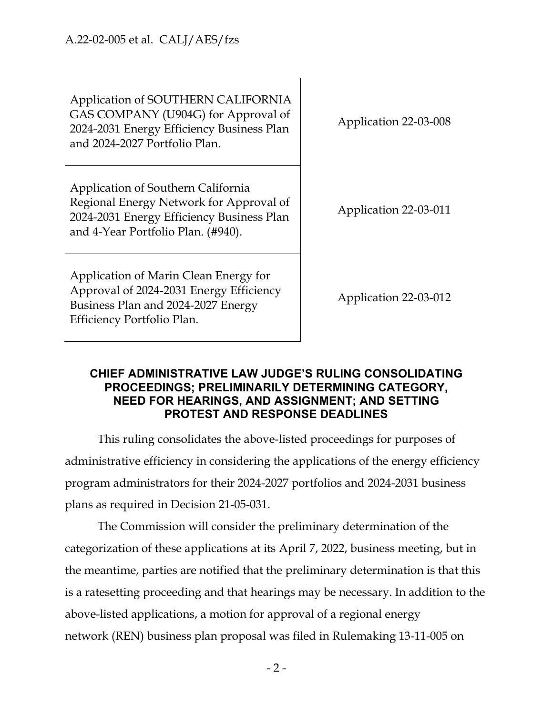Application of SOUTHERN CALIFORNIA GAS COMPANY (U904G) for Approval of 2024-2031 Energy Efficiency Business Plan and 2024-2027 Portfolio Plan.

Application of Southern California Regional Energy Network for Approval of 2024-2031 Energy Efficiency Business Plan and 4-Year Portfolio Plan. (#940).

Application of Marin Clean Energy for Approval of 2024-2031 Energy Efficiency Business Plan and 2024-2027 Energy Efficiency Portfolio Plan.

Application 22-03-008

Application 22-03-011

Application 22-03-012

## **CHIEF ADMINISTRATIVE LAW JUDGE'S RULING CONSOLIDATING PROCEEDINGS; PRELIMINARILY DETERMINING CATEGORY, NEED FOR HEARINGS, AND ASSIGNMENT; AND SETTING PROTEST AND RESPONSE DEADLINES**

This ruling consolidates the above-listed proceedings for purposes of administrative efficiency in considering the applications of the energy efficiency program administrators for their 2024-2027 portfolios and 2024-2031 business plans as required in Decision 21-05-031.

The Commission will consider the preliminary determination of the categorization of these applications at its April 7, 2022, business meeting, but in the meantime, parties are notified that the preliminary determination is that this is a ratesetting proceeding and that hearings may be necessary. In addition to the above-listed applications, a motion for approval of a regional energy network (REN) business plan proposal was filed in Rulemaking 13-11-005 on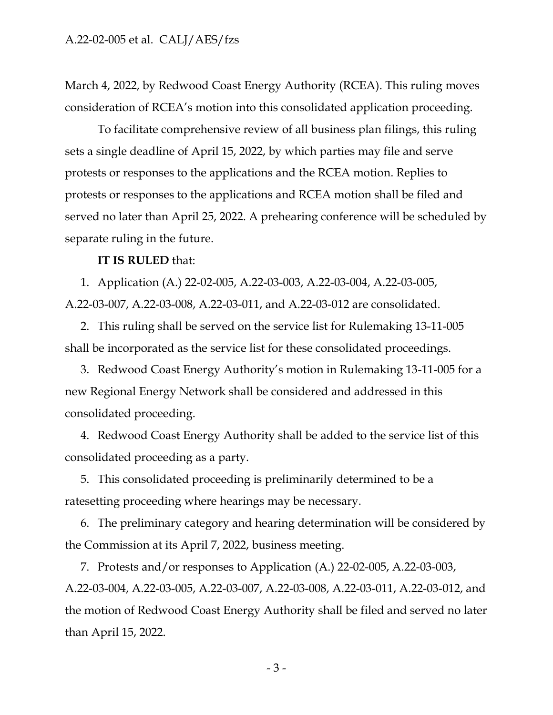March 4, 2022, by Redwood Coast Energy Authority (RCEA). This ruling moves consideration of RCEA's motion into this consolidated application proceeding.

To facilitate comprehensive review of all business plan filings, this ruling sets a single deadline of April 15, 2022, by which parties may file and serve protests or responses to the applications and the RCEA motion. Replies to protests or responses to the applications and RCEA motion shall be filed and served no later than April 25, 2022. A prehearing conference will be scheduled by separate ruling in the future.

## **IT IS RULED** that:

1. Application (A.) 22-02-005, A.22-03-003, A.22-03-004, A.22-03-005, A.22-03-007, A.22-03-008, A.22-03-011, and A.22-03-012 are consolidated.

2. This ruling shall be served on the service list for Rulemaking 13-11-005 shall be incorporated as the service list for these consolidated proceedings.

3. Redwood Coast Energy Authority's motion in Rulemaking 13-11-005 for a new Regional Energy Network shall be considered and addressed in this consolidated proceeding.

4. Redwood Coast Energy Authority shall be added to the service list of this consolidated proceeding as a party.

5. This consolidated proceeding is preliminarily determined to be a ratesetting proceeding where hearings may be necessary.

6. The preliminary category and hearing determination will be considered by the Commission at its April 7, 2022, business meeting.

7. Protests and/or responses to Application (A.) 22-02-005, A.22-03-003, A.22-03-004, A.22-03-005, A.22-03-007, A.22-03-008, A.22-03-011, A.22-03-012, and the motion of Redwood Coast Energy Authority shall be filed and served no later than April 15, 2022.